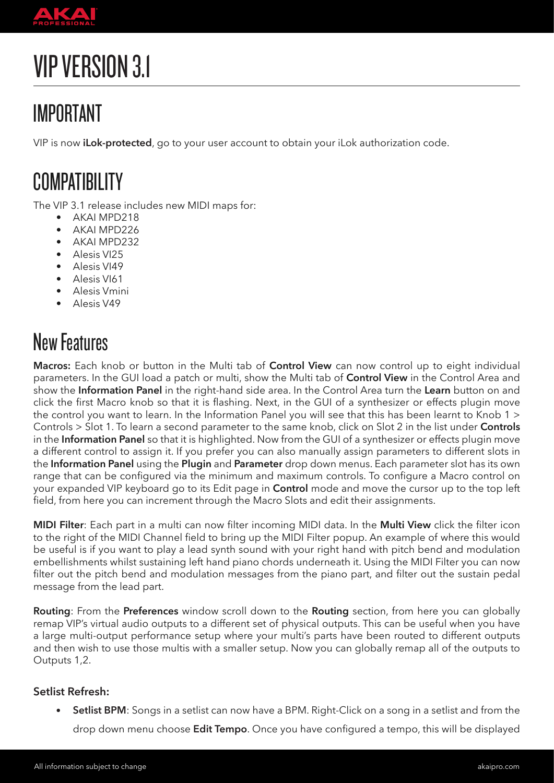

# VIP VERSION 3.1

## IMPORTANT

VIP is now **iLok-protected**, go to your user account to obtain your iLok authorization code.

### **COMPATIBILITY**

The VIP 3.1 release includes new MIDI maps for:

- AKAI MPD218
- AKAI MPD226
- AKAI MPD232
- Alesis VI25
- Alesis VI49
- Alesis VI61
- Alesis Vmini
- Alesis V49

### New Features

**Macros:** Each knob or button in the Multi tab of **Control View** can now control up to eight individual parameters. In the GUI load a patch or multi, show the Multi tab of **Control View** in the Control Area and show the **Information Panel** in the right-hand side area. In the Control Area turn the **Learn** button on and click the first Macro knob so that it is flashing. Next, in the GUI of a synthesizer or effects plugin move the control you want to learn. In the Information Panel you will see that this has been learnt to Knob 1 > Controls > Slot 1. To learn a second parameter to the same knob, click on Slot 2 in the list under **Controls**  in the **Information Panel** so that it is highlighted. Now from the GUI of a synthesizer or effects plugin move a different control to assign it. If you prefer you can also manually assign parameters to different slots in the **Information Panel** using the **Plugin** and **Parameter** drop down menus. Each parameter slot has its own range that can be configured via the minimum and maximum controls. To configure a Macro control on your expanded VIP keyboard go to its Edit page in **Control** mode and move the cursor up to the top left field, from here you can increment through the Macro Slots and edit their assignments.

**MIDI Filter**: Each part in a multi can now filter incoming MIDI data. In the **Multi View** click the filter icon to the right of the MIDI Channel field to bring up the MIDI Filter popup. An example of where this would be useful is if you want to play a lead synth sound with your right hand with pitch bend and modulation embellishments whilst sustaining left hand piano chords underneath it. Using the MIDI Filter you can now filter out the pitch bend and modulation messages from the piano part, and filter out the sustain pedal message from the lead part.

**Routing**: From the **Preferences** window scroll down to the **Routing** section, from here you can globally remap VIP's virtual audio outputs to a different set of physical outputs. This can be useful when you have a large multi-output performance setup where your multi's parts have been routed to different outputs and then wish to use those multis with a smaller setup. Now you can globally remap all of the outputs to Outputs 1,2.

#### **Setlist Refresh:**

**Setlist BPM**: Songs in a setlist can now have a BPM. Right-Click on a song in a setlist and from the

drop down menu choose **Edit Tempo**. Once you have configured a tempo, this will be displayed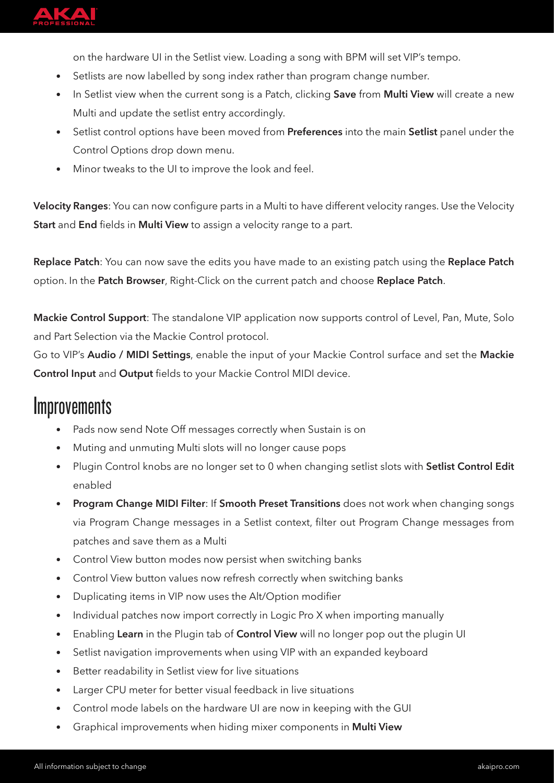

on the hardware UI in the Setlist view. Loading a song with BPM will set VIP's tempo.

- Setlists are now labelled by song index rather than program change number.
- In Setlist view when the current song is a Patch, clicking **Save** from **Multi View** will create a new Multi and update the setlist entry accordingly.
- Setlist control options have been moved from **Preferences** into the main **Setlist** panel under the Control Options drop down menu.
- Minor tweaks to the UI to improve the look and feel.

**Velocity Ranges**: You can now configure parts in a Multi to have different velocity ranges. Use the Velocity **Start** and **End** fields in **Multi View** to assign a velocity range to a part.

**Replace Patch**: You can now save the edits you have made to an existing patch using the **Replace Patch**  option. In the **Patch Browser**, Right-Click on the current patch and choose **Replace Patch**.

**Mackie Control Support**: The standalone VIP application now supports control of Level, Pan, Mute, Solo and Part Selection via the Mackie Control protocol.

Go to VIP's **Audio / MIDI Settings**, enable the input of your Mackie Control surface and set the **Mackie Control Input** and **Output** fields to your Mackie Control MIDI device.

#### **Improvements**

- Pads now send Note Off messages correctly when Sustain is on
- Muting and unmuting Multi slots will no longer cause pops
- Plugin Control knobs are no longer set to 0 when changing setlist slots with **Setlist Control Edit**  enabled
- **Program Change MIDI Filter**: If **Smooth Preset Transitions** does not work when changing songs via Program Change messages in a Setlist context, filter out Program Change messages from patches and save them as a Multi
- Control View button modes now persist when switching banks
- Control View button values now refresh correctly when switching banks
- Duplicating items in VIP now uses the Alt/Option modifier
- Individual patches now import correctly in Logic Pro X when importing manually
- Enabling **Learn** in the Plugin tab of **Control View** will no longer pop out the plugin UI
- Setlist navigation improvements when using VIP with an expanded keyboard
- Better readability in Setlist view for live situations
- Larger CPU meter for better visual feedback in live situations
- Control mode labels on the hardware UI are now in keeping with the GUI
- Graphical improvements when hiding mixer components in **Multi View**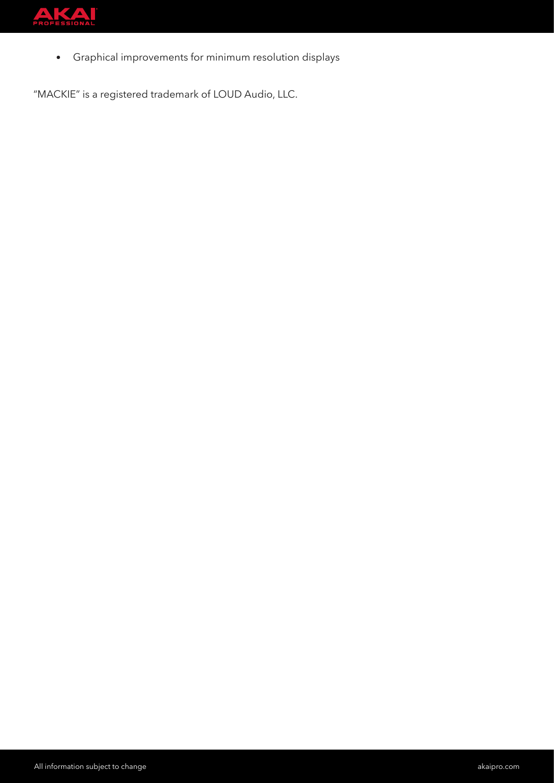

• Graphical improvements for minimum resolution displays

"MACKIE" is a registered trademark of LOUD Audio, LLC.